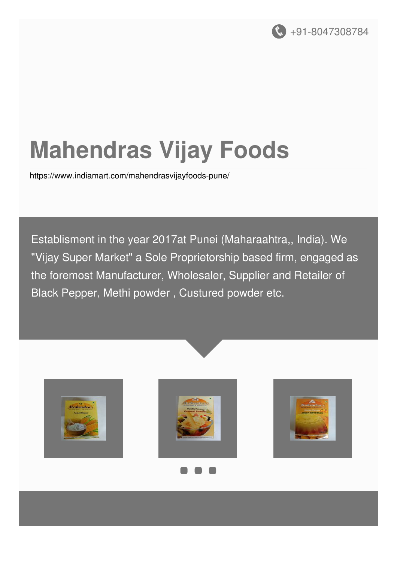

# **Mahendras Vijay Foods**

<https://www.indiamart.com/mahendrasvijayfoods-pune/>

Establisment in the year 2017at Punei (Maharaahtra,, India). We "Vijay Super Market" a Sole Proprietorship based firm, engaged as the foremost Manufacturer, Wholesaler, Supplier and Retailer of Black Pepper, Methi powder , Custured powder etc.







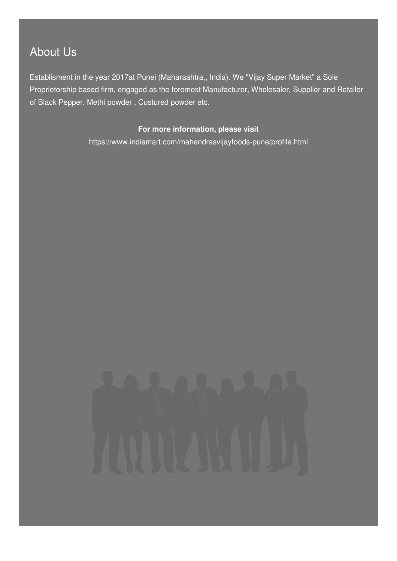### About Us

Establisment in the year 2017at Punei (Maharaahtra,, India). We "Vijay Super Market" a Sole Proprietorship based firm, engaged as the foremost Manufacturer, Wholesaler, Supplier and Retailer of Black Pepper, Methi powder , Custured powder etc.

#### **For more information, please visit**

<https://www.indiamart.com/mahendrasvijayfoods-pune/profile.html>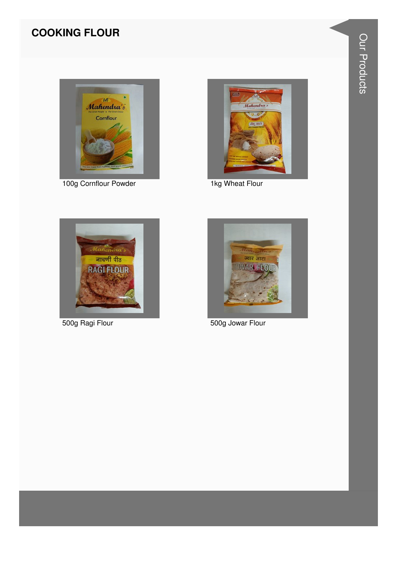#### **COOKING FLOUR**



100g Cornflour Powder



1kg Wheat Flour



500g Ragi Flour



500g Jowar Flour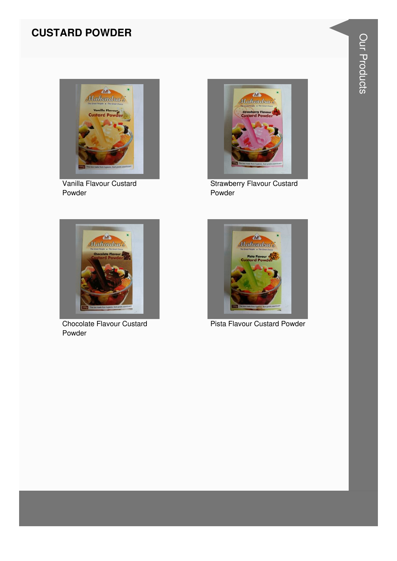#### **CUSTARD POWDER**



Vanilla Flavour Custard Powder



**Strawberry Flavour Custard** Powder



Chocolate Flavour Custard Powder



Pista Flavour Custard Powder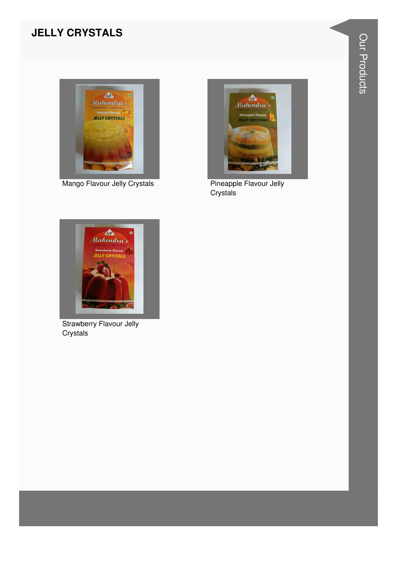#### **JELLY CRYSTALS**



Mango Flavour Jelly Crystals



Pineapple Flavour Jelly Crystals



**Strawberry Flavour Jelly** Crystals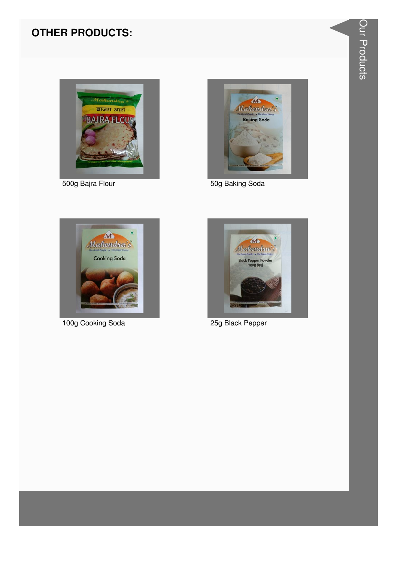

500g Bajra Flour



50g Baking Soda



100g Cooking Soda



25g Black Pepper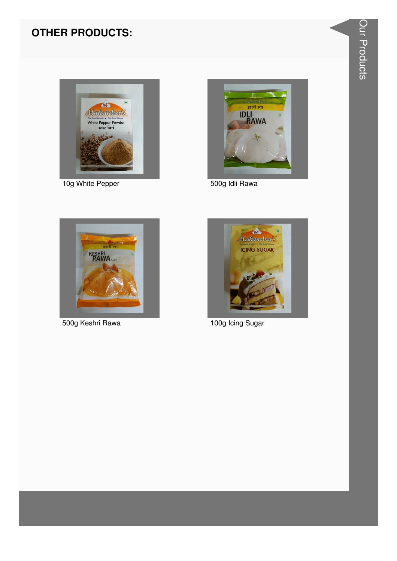

10g White Pepper



500g Idli Rawa



500g Keshri Rawa



100g Icing Sugar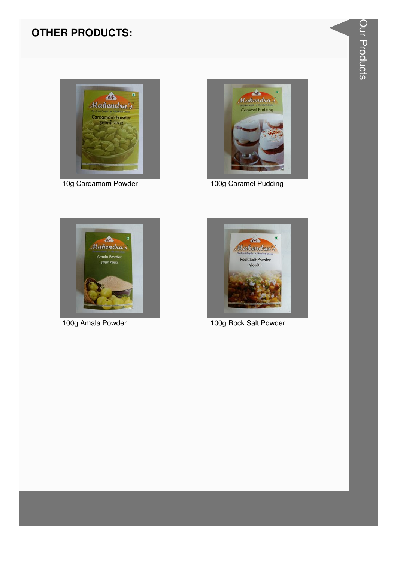

10g Cardamom Powder



100g Caramel Pudding



100g Amala Powder



100g Rock Salt Powder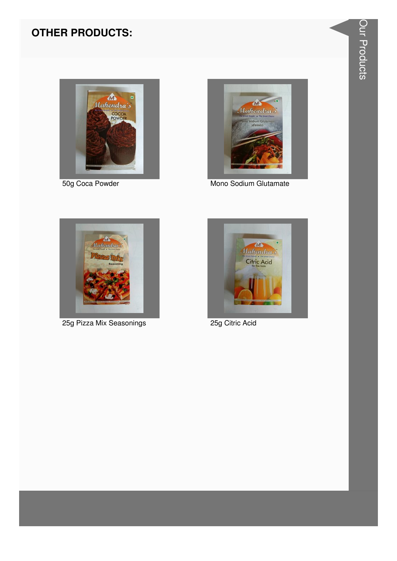



50g Coca Powder **Mono Sodium Glutamate** 



25g Pizza Mix Seasonings 25g Citric Acid

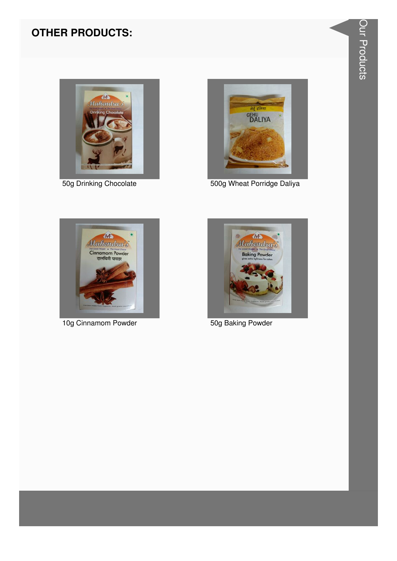

50g Drinking Chocolate



500g Wheat Porridge Daliya



10g Cinnamom Powder



50g Baking Powder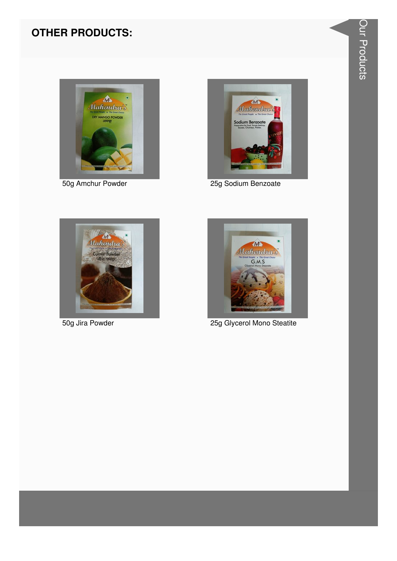

50g Amchur Powder



25g Sodium Benzoate



50g Jira Powder



25g Glycerol Mono Steatite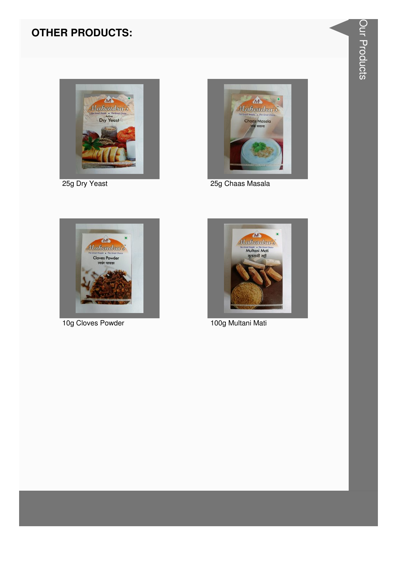

25g Dry Yeast



25g Chaas Masala



10g Cloves Powder



100g Multani Mati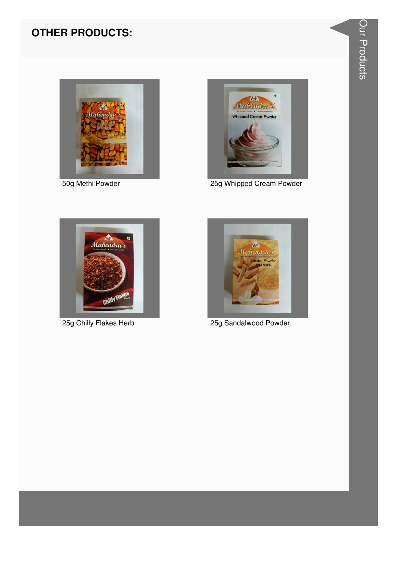

50g Methi Powder



25g Whipped Cream Powder



25g Chilly Flakes Herb



25g Sandalwood Powder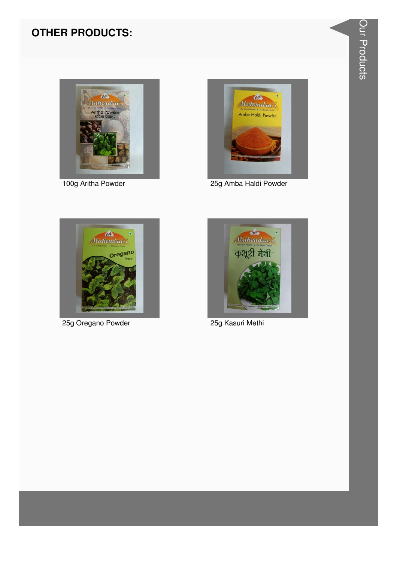

100g Aritha Powder



25g Amba Haldi Powder



25g Oregano Powder



25g Kasuri Methi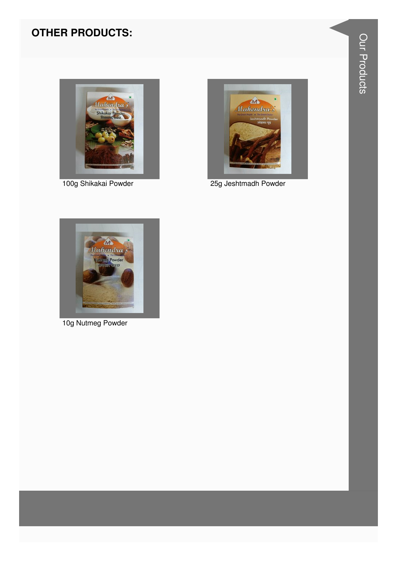

100g Shikakai Powder



25g Jeshtmadh Powder



10g Nutmeg Powder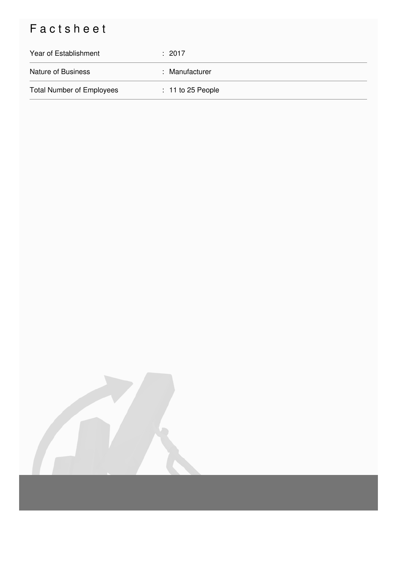## Factsheet

| Year of Establishment            | $\div$ 2017         |
|----------------------------------|---------------------|
| <b>Nature of Business</b>        | : Manufacturer      |
| <b>Total Number of Employees</b> | $: 11$ to 25 People |